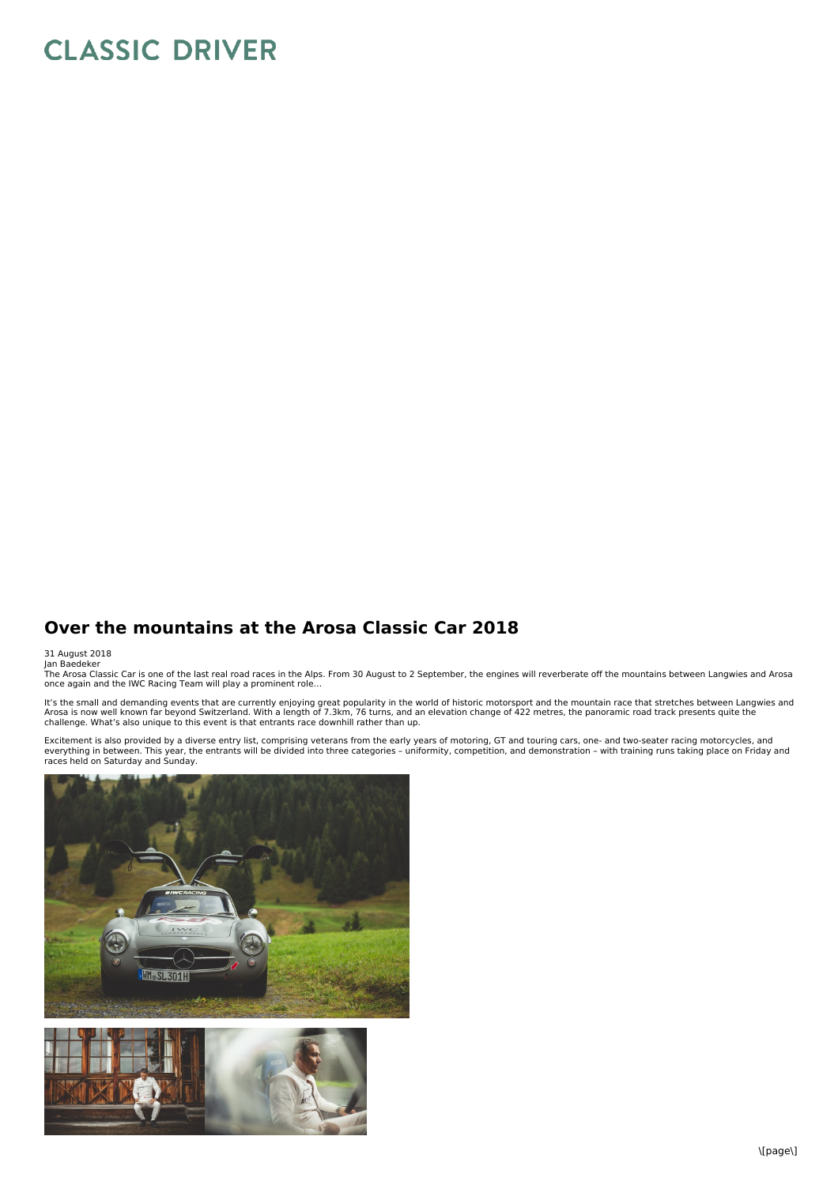## **CLASSIC DRIVER**

## **Over the mountains at the Arosa Classic Car 2018**

31 August 2018<br>Jan Baedeker<br>The Arosa Classic Car is one of the last real road races in the Alps. From 30 August to 2 September, the engines will reverberate off the mountains between Langwies and Arosa<br>The Arosa Classic C

It's the small and demanding events that are currently enjoying great popularity in the world of historic motorsport and the mountain race that stretches between Langwies and<br>Arosa is now well known far beyond Switzerland.

Excitement is also provided by a diverse entry list, comprising veterans from the early years of motoring, GT and touring cars, one- and two-seater racing motorcycles, and<br>everything in between. This year, the entrants wil